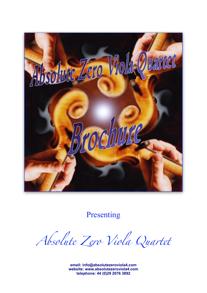

Presenting

*Absolute Zero Viola Quartet* 

**email: [info@absolutezeroviola4.com](mailto:info@absolutezeroviola4.com) website: [www.absolutezeroviola4.com](http://www.absolutezeroviola4.com) telephone: 44 (0)29 2076 3892**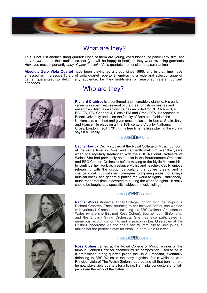

## What are they?

This is not just another string quartet: None of them are young, dyed blonde, or particularly slim, and they *never* pout at their audiences, nor (you will be happy to hear) do they wear revealing garments. However, most importantly, *they all play the viola*! Viola quartets are considerably rarer animals.

**Absolute Zero Viola Quartet** have been playing as a group since 1995, and in that time have amassed an impressive library of viola quartet repertoire, embracing a wide and eclectic range of genre, guaranteed to delight any audience, be they first-timers or seasoned veteran concert attendees.





# Who are they?

**Richard Crabtree** is a confirmed and incurable violaholic. His early career was spent with several of the great British orchestras and ensembles. Also, as a soloist he has recorded for BBC Radio 3, 4, BBC TV, ITV, Channel 4, Classic FM and Greek RTA. He teaches at Bristol University and is on the faculty of Bath and Goldsmiths Universities, coached and given master classes in Korea, Spain, Italy and France. He plays on a fine 18th century Viola by Nathanial Cross, London, Fecit 1731. In his free time he likes playing the viola – says it all, really.

#### BBBBBBBBBBBBBBBBBB

**Cecily Howick** Cecily studied at the Royal College of Music, London, at the same time as Ross, and frequently met him over the years when she regularly freelanced with the BBC National Orchestra of Wales. She had previously held posts in the Bournemouth Orchestra and BBC Concert Orchestra before moving to the idyllic Malvern hills to continue her work as freelance violist and teacher. Cecily enjoys rehearsing with the group, particularly the coffee breaks and a chance to catch up with her colleagues; comparing notes (not always musical ones), and generally putting the world to rights. Traditionally, much rehearsal time is devoted to putting the world to rights - it really should be taught as a speciality subject at music college.





### BBBBBBBBBBBBBBBBBB

**Rachel Wilkes** studied at Trinity College, London, with the ubiquitous Richard Crabtree. Then, returning to her beloved Bristol, she worked with various UK orchestras, including the BBC National Orchestra of Wales (where she first met Ross Cohen), Bournemouth Sinfonietta, and the English String Orchestra. She has also participated in numerous recordings for TV, and a season in Les Miserables at the Bristol Hippodrome. As she has a natural immunity to viola jokes, it makes her the perfect player for Absolute Zero Viola Quartet.

#### BBBBBBBBBBBBBBBBBB

**Ross Cohen** trained at the Royal College of Music, winner of the famous Cobbett Prize for chamber music composition, used to be in a professional string quartet, joined the Hallé Orchestra, eventually defecting to BBC Wales in the early eighties. For a while he was Principal viola of The Welsh Sinfonia but, putting all that behind him, he now plays viola quartets for a living. He thinks conductors and flatpacks are the work of the Satan.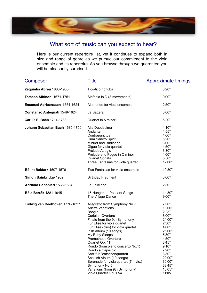

### What sort of music can you expect to hear?

Here is our current repertoire list, yet it continues to expand both in size and range of genre as we pursue our commitment to the viola ensemble and its repertoire. As you browse through we guarantee you will be pleasantly surprised.

| <u>Composer</u>                 | <b>Title</b>                                                                                                                                                                                                                                                                                                                                                                                                                                                                                                                               | <b>Approximate timings</b>                                                                                                                                                       |
|---------------------------------|--------------------------------------------------------------------------------------------------------------------------------------------------------------------------------------------------------------------------------------------------------------------------------------------------------------------------------------------------------------------------------------------------------------------------------------------------------------------------------------------------------------------------------------------|----------------------------------------------------------------------------------------------------------------------------------------------------------------------------------|
| Zequinha Abreu 1880-1935        | Tico-tico no fubá                                                                                                                                                                                                                                                                                                                                                                                                                                                                                                                          | 3'20''                                                                                                                                                                           |
| Tomaso Albinoni 1671-1751       | Sinfonia in D (3 movements)                                                                                                                                                                                                                                                                                                                                                                                                                                                                                                                | 9'00"                                                                                                                                                                            |
| Emanuel Adriaenssen 1554-1624   | Alamande for viola ensemble                                                                                                                                                                                                                                                                                                                                                                                                                                                                                                                | 2'50''                                                                                                                                                                           |
| Constanzo Antegnati 1549-1624   | La Battera                                                                                                                                                                                                                                                                                                                                                                                                                                                                                                                                 | 3'00"                                                                                                                                                                            |
| Carl P. E. Bach 1714-1788       | Quartet in A minor                                                                                                                                                                                                                                                                                                                                                                                                                                                                                                                         | 5'20"                                                                                                                                                                            |
| Johann Sebastian Bach 1685-1750 | Alla Duodecima<br>Andante<br>Contrapunctus<br>Cum Sancto Spiritu<br>Minuet and Badinerie<br>Gigue for viola quartet<br>Prelude Adagio<br>Prelude and Fugue in C minor<br>Quartet Sonata<br>Three Fantasias for viola quartet                                                                                                                                                                                                                                                                                                               | 4'10''<br>4'55"<br>4'00"<br>5'20"<br>3'00"<br>4'50"<br>3'30''<br>4'00"<br>5'50"<br>12'00"                                                                                        |
| Bálint Bakfark 1507-1576        | Two Fantasias for viola ensemble                                                                                                                                                                                                                                                                                                                                                                                                                                                                                                           | 19'30"                                                                                                                                                                           |
| Simon Bainbridge 1952           | <b>Birthday Fragment</b>                                                                                                                                                                                                                                                                                                                                                                                                                                                                                                                   | 3'00"                                                                                                                                                                            |
| Adriano Banchieri 1568-1634     | La Feliciana                                                                                                                                                                                                                                                                                                                                                                                                                                                                                                                               | 2'30''                                                                                                                                                                           |
| Béla Bartók 1881-1945           | 15 Hungarian Peasant Songs<br>The Village Dance                                                                                                                                                                                                                                                                                                                                                                                                                                                                                            | 14'30"<br>9'00"                                                                                                                                                                  |
| Ludwig van Beethoven 1770-1827  | Allegretto from Symphony No.7<br><b>Arietta Variations</b><br><b>Boogie</b><br>Coriolan Overture<br>Finale from the 9th Symphony<br>Für Elise for viola quartet<br>Für Elise (plus) for viola quartet<br>Irish Album (10 songs)<br>My Baby Sleeps<br><b>Prometheus Overture</b><br>Quartet Op. 111<br>Rondo (from piano concerto No.1)<br>Rondo a Capriccio<br>Satz für Bratschenguartett<br>Scottish Album (10 songs)<br>Serenade for viola quartet (7 mvts.)<br>Symphony No.5<br>Variations (from 9th Symphony)<br>Viola Quartet Opus 54 | 7'30"<br>18'00"<br>2'23"<br>8'00"<br>24'00"<br>2'30"<br>4'00"<br>25'00"<br>5'30"<br>4'50"<br>8'45"<br>9'10"<br>7'20''<br>3'30"<br>22'00"<br>30'00"<br>33'45"<br>13'05"<br>11'05" |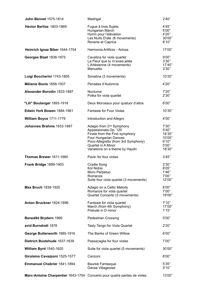| <b>John Bennet 1575-1614</b>                                              | Madrigal                                                                                                                                                                                                               | 2'40''                                                           |
|---------------------------------------------------------------------------|------------------------------------------------------------------------------------------------------------------------------------------------------------------------------------------------------------------------|------------------------------------------------------------------|
| Hector Berlioz 1803-1869                                                  | Fugue à trois Sujets<br>Hungarian March<br>Hymn pour l'élévation<br>Les Nuits D'ete (6 movements)<br>Reverie et Caprice                                                                                                | 4'45"<br>5'00"<br>4'20"<br>30'00"<br>8'10''                      |
| Heinrich Ignaz Biber 1644-1704                                            | Harmonia Artificia - Ariosa                                                                                                                                                                                            | 17'00"                                                           |
| Georges Bizet 1838-1875                                                   | Cavatina for viola quartet<br>La Fleur que tu m'avais jetée<br>L'Arlésienne (4 movements)<br>Menuetto                                                                                                                  | 9'00"<br>3'30''<br>17'40"<br>3'30"                               |
| Luigi Boccherini 1743-1805                                                | Sonatina (3 movements)                                                                                                                                                                                                 | 10'20"                                                           |
| Mélanie Bonis 1858-1937                                                   | Pensées d'Automne                                                                                                                                                                                                      | 4'20"                                                            |
| Alexander Borodin 1833-1887                                               | Nocturne<br>Polka for viola quartet                                                                                                                                                                                    | 7'20"<br>2'30''                                                  |
| "Lili" Boulanger 1893-1918                                                | Deux Morceaux pour quatuor d'altos                                                                                                                                                                                     | 6'00"                                                            |
| Edwin York Bowen 1884-1961                                                | <b>Fantasie for Four Violas</b>                                                                                                                                                                                        | 10'30"                                                           |
| William Boyce 1711-1779                                                   | Introduction and Allegro                                                                                                                                                                                               | 4'00"                                                            |
| Johannes Brahms 1833-1897                                                 | Adagio from 2 <sup>nd</sup> Symphony<br>Appassionata Op. 120<br>Finale from the First symphony<br>Four Hungarian Dances<br>Poco Allegretto (from 3rd Symphony)<br>Quartet in A Minor<br>Variations on a theme by Haydn | 7'30"<br>5'40''<br>16'30"<br>10'00"<br>6'10''<br>5'50"<br>18'30" |
| Thomas Brewer 1611-1660                                                   | Pavin for four violas                                                                                                                                                                                                  | 3'45''                                                           |
| <b>Frank Bridge 1899-1903</b>                                             | <b>Cradle Song</b><br>Kol Nidrei<br>Moro Perpetuo<br>Romanze<br>Suite four viola quartet (3 movements)                                                                                                                 | 2'30"<br>8'05"<br>1'46"<br>7'00"<br>12'00"                       |
| Max Bruch 1838-1920                                                       | Adagio on a Celtic Melody<br>Romanze for viola quartet<br>Quartet Concerto (3 movements)                                                                                                                               | 8'00"<br>7'00"<br>19'00"                                         |
| Anton Bruckner 1824-1896                                                  | Fantasie for viola quartet<br>March (from 4th Symphony)<br>Prelude in D minor                                                                                                                                          | 7'10''<br>17'00"<br>1'15"                                        |
| Benedikt Brydern 1966                                                     | <b>Pedestrian Crossing</b>                                                                                                                                                                                             | 5'00"                                                            |
| avid Burndrett 1978                                                       | Tasty Tango for Viola Quartet                                                                                                                                                                                          | 2'20"                                                            |
| George Butterworth 1885-1916                                              | The Banks of Green Willow                                                                                                                                                                                              | 6'00''                                                           |
| Dietrich Buxtehude 1637-1639                                              | Passacaglia for four violas                                                                                                                                                                                            | 7'00"                                                            |
| <b>William Byrd 1540-1620</b>                                             | Suite for viola quartet (5 movements)                                                                                                                                                                                  | 30'00"                                                           |
| Girolamo Cavazzoni 1525-1577                                              | Canzoni                                                                                                                                                                                                                | 8'00"                                                            |
| Emmanuel Chabrier 1841-1894                                               | Baureé Fantasque<br>Danse Villageoise                                                                                                                                                                                  | 5'35"<br>5'10''                                                  |
| Marc-Antoine Charpentier 1643-1704 Concerto pour quatre parties de violes |                                                                                                                                                                                                                        | 13'00"                                                           |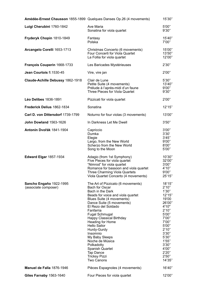|                                                 | Amédée-Ernest Chausson 1855-1899 Quelques Danses Op.26 (4 movements)                                                                                                                                                                                                                                                                                                                                                                                                                 | 15'30"                                                                                                                                                                                                 |
|-------------------------------------------------|--------------------------------------------------------------------------------------------------------------------------------------------------------------------------------------------------------------------------------------------------------------------------------------------------------------------------------------------------------------------------------------------------------------------------------------------------------------------------------------|--------------------------------------------------------------------------------------------------------------------------------------------------------------------------------------------------------|
| Luigi Cherubini 1760-1842                       | Ave Maria<br>Sonatina for viola quartet                                                                                                                                                                                                                                                                                                                                                                                                                                              | 5'00"<br>9'30"                                                                                                                                                                                         |
| Fryderyk Chopin 1810-1849                       | Fantasy<br>Polska                                                                                                                                                                                                                                                                                                                                                                                                                                                                    | 15'40"<br>7'00"                                                                                                                                                                                        |
| Arcangelo Corelli 1653-1713                     | Christmas Concerto (6 movements)<br>Four Concerti for Viola Quartet<br>La Follia for viola quartet                                                                                                                                                                                                                                                                                                                                                                                   | 15'00"<br>13'50"<br>12'00"                                                                                                                                                                             |
| François Couperin 1668-1733                     | Les Baricades Mystérieuses                                                                                                                                                                                                                                                                                                                                                                                                                                                           | 2'30''                                                                                                                                                                                                 |
| Jean Courtois fl.1530-45                        | Vire, vire jan                                                                                                                                                                                                                                                                                                                                                                                                                                                                       | 2'00"                                                                                                                                                                                                  |
| Claude-Achille Debussy 1862-1918                | Clair de Lune<br>Petite Suite (4 movements)<br>Prélude à l'après-midi d'un faune<br>Three Pieces for Viola Quartet                                                                                                                                                                                                                                                                                                                                                                   | 5'30"<br>13'40"<br>9'00"<br>9'30"                                                                                                                                                                      |
| Léo Delibes 1836-1891                           | Pizzicati for viola quartet                                                                                                                                                                                                                                                                                                                                                                                                                                                          | 2'00"                                                                                                                                                                                                  |
| Frederick Delius 1862-1834                      | Sonatina                                                                                                                                                                                                                                                                                                                                                                                                                                                                             | 12'15"                                                                                                                                                                                                 |
| Carl D. von Dittersdorf 1739-1799               | Noturno for four violas (3 movements)                                                                                                                                                                                                                                                                                                                                                                                                                                                | 13'00"                                                                                                                                                                                                 |
| John Dowland 1563-1626                          | In Darkness Let Me Dwell                                                                                                                                                                                                                                                                                                                                                                                                                                                             | 3'50''                                                                                                                                                                                                 |
| Antonín Dvořák 1841-1904                        | Capriccio<br>Dumka<br>Elegie<br>Largo, from the New World<br>Scherzo from the New World<br>Song to the Moon                                                                                                                                                                                                                                                                                                                                                                          | 3'00"<br>3'30'<br>3'45''<br>9'00"<br>8'00"<br>5'00"                                                                                                                                                    |
| <b>Edward Elgar 1857-1934</b>                   | Adagio (from 1st Symphony)<br>Five Pieces for viola quartet<br>"Nimrod" for viola quartet<br>Romance for bassoon and viola quartet<br>Three Charming Viola Quartets<br>Viola Quartet Concerto (4 movements)                                                                                                                                                                                                                                                                          | 10'30"<br>32'00"<br>3'00"<br>4'10''<br>9'00"<br>25'15"                                                                                                                                                 |
| Sancho Engaño 1922-1995<br>(associate composer) | The Art of Pizzicato (6 movements)<br>Bach for Oscar<br>Bach in the Dark<br>Beads for voice and viola quartet<br>Blues Suite (4 movements)<br>Dance Suite (5 movements)<br>El Rezo del Soldado<br>Fanfarria<br><b>Fugal Schmugal</b><br><b>Happy Classical Birthday</b><br>Heading for Home<br><b>Hello Sailor</b><br>Hurdy-Gurdy<br>Insomnio<br>My Baby Sleeps<br>Noche de Música<br>Polkadotty<br><b>Spanish Quartet</b><br>Tap Dance<br><b>Tricksy Pizzi</b><br><b>Two Canons</b> | 18'15"<br>2'10''<br>1'30''<br>12'15"<br>19'00<br>26'00"<br>4'10"<br>2'10''<br>5'00"<br>7'00"<br>7'00"<br>5'00"<br>2'10''<br>3'30''<br>5'30''<br>1'55"<br>3'30''<br>4'00"<br>2'20''<br>2'50''<br>14'35" |
| Manuel de Falla 1876-1946                       | Pièces Espagnoles (4 movements)                                                                                                                                                                                                                                                                                                                                                                                                                                                      | 16'40"                                                                                                                                                                                                 |
| Giles Farnaby 1563-1640                         | Four Pieces for viola quartet                                                                                                                                                                                                                                                                                                                                                                                                                                                        | 12'00"                                                                                                                                                                                                 |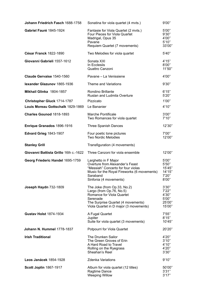| Johann Friedrich Fasch 1688-1758      | Sonatina for viola quartet (4 mvts.)                                                                                                                                               | 9'00"                                                 |
|---------------------------------------|------------------------------------------------------------------------------------------------------------------------------------------------------------------------------------|-------------------------------------------------------|
| Gabriel Fauré 1845-1924               | Fantasie for Viola Quartet (2 mvts.)<br>Four Pieces for Viola Quartet<br>Madrigal, Opus 35<br>Pavane<br>Requiem Quartet (7 movements)                                              | 5'00"<br>9'30"<br>4'00"<br>5'10"<br>33'00"            |
| César Franck 1822-1890                | Two Melodies for viola quartet                                                                                                                                                     | 5'40''                                                |
| Giovanni Gabrieli 1557-1612           | Sonata XXI<br>In Ecclesiis<br>Quattro Canzoni                                                                                                                                      | 4'15"<br>8'00"<br>11'50"                              |
| Claude Gervaise 1540-1560             | Pavane - La Venissiene                                                                                                                                                             | 4'00"                                                 |
| lexander Glazunov 1865-1936           | Theme and Variations                                                                                                                                                               | 9'30"                                                 |
| Mikhail Glinka 1804-1857              | Rondino Brillante<br>Ruslan and Ludmila Overture                                                                                                                                   | 6'15"<br>5'20"                                        |
| Christopher Gluck 1714-1787           | Pizzicato                                                                                                                                                                          | 1'00"                                                 |
| Louis Moreau Gottschalk 1829-1869     | Le Bananier                                                                                                                                                                        | 4'10''                                                |
| Charles Gounod 1818-1893              | Marche Pontificale<br>Two Romances for viola quartet                                                                                                                               | 3'00"<br>7'10''                                       |
| Enrique Granados 1896-1916            | Three Spanish Dances                                                                                                                                                               | 12'30"                                                |
| <b>Edvard Grieg 1843-1907</b>         | Four poetic tone pictures<br><b>Two Nordic Melodies</b>                                                                                                                            | 7'00"<br>12'00"                                       |
| <b>Stanley Grill</b>                  | Transfiguration (4 movements)                                                                                                                                                      |                                                       |
| Giovanni Battista Grillo 16th c.-1622 | Three Canzoni for viola ensemble                                                                                                                                                   | 12'00"                                                |
| Georg Friederic Handel 1695-1759      | Larghetto in F Major<br>Overture from Alexander's Feast<br>"Messiah" Concerto for four violas<br>Music for the Royal Fireworks (6 movements)<br>Saraband<br>Sinfonia (4 movements) | 5'00"<br>5'50"<br>15'45"<br>14'15"<br>7'20"<br>8'00"  |
| Joseph Haydn 732-1809                 | The Joke (from Op.33, No.2)<br>Largo (from Op.76, No.5)<br>Romance for Viola Quartet<br>Serenade<br>The Surprise Quartet (4 movements)<br>Viola Quartet in D major (3 movements)   | 3'30''<br>7'22"<br>4'30"<br>5'00"<br>25'00"<br>15'00" |
| <b>Gustav Holst 1874-1934</b>         | A Fugal Quartet<br>Jupiter<br>Suite for viola quartet (3 movements)                                                                                                                | 7'55"<br>8'15"<br>10'45"                              |
| Johann N. Hummel 1778-1837            | Potpourri for Viola Quartet                                                                                                                                                        | 20'20"                                                |
| <b>Irish Traditional</b>              | The Drunken Sailor<br>The Green Groves of Erin<br>A Hard Road to Travel<br>Rolling on the Ryegrass<br>Sheahan's Reel                                                               | 4'20"<br>3'10''<br>4'10''<br>4'20"<br>3'30"           |
| Leos Janácek 1854-1928                | <b>Zdenka Variations</b>                                                                                                                                                           | 9'10"                                                 |
| <b>Scott Joplin 1867-1917</b>         | Album for viola quartet (12 titles)<br>Ragtime Dance<br><b>Weeping Willow</b>                                                                                                      | 50'00"<br>3'31"<br>3'17''                             |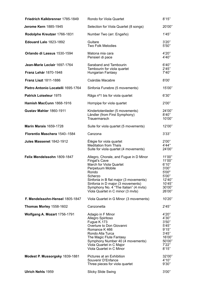|                          | Friedrich Kalkbrenner 1785-1849    | Rondo for Viola Quartet                                                                                                                                                                                                                                                                 | 8'15"                                                                                         |
|--------------------------|------------------------------------|-----------------------------------------------------------------------------------------------------------------------------------------------------------------------------------------------------------------------------------------------------------------------------------------|-----------------------------------------------------------------------------------------------|
|                          | Jerome Kern 1885-1945              | Selection for Viola Quartet (8 songs)                                                                                                                                                                                                                                                   | 20'00"                                                                                        |
|                          | Rodolphe Kreutzer 1766-1831        | Number Two (arr. Engaño)                                                                                                                                                                                                                                                                | 1'45"                                                                                         |
|                          | <b>Edouard Lalo 1823-1892</b>      | Guitare<br><b>Two Folk Melodies</b>                                                                                                                                                                                                                                                     | 3'20''<br>5'50"                                                                               |
|                          | Orlando di Lassus 1530-1594        | Matona mia cara<br>Pensieri di pace                                                                                                                                                                                                                                                     | 4'20"<br>4'40"                                                                                |
|                          | Jean-Marie Leclair 1697-1764       | Saraband and Tambourin                                                                                                                                                                                                                                                                  | 6'40''                                                                                        |
|                          | Franz Lehár 1870-1948              | Tambourin for viola quartet<br>Hungarian Fantasy                                                                                                                                                                                                                                        | 2'45"<br>7'40"                                                                                |
|                          | <b>Franz Liszt 1811-1886</b>       | Csárdás Macabre                                                                                                                                                                                                                                                                         | 8'00'                                                                                         |
|                          | Pietro Antonio Locatelli 1695-1764 | Sinfonia Funebre (5 movements)                                                                                                                                                                                                                                                          | 15'00"                                                                                        |
|                          | Patrick Loiseleur 1975             | Râga nº1 bis for viola quartet                                                                                                                                                                                                                                                          | 6'30''                                                                                        |
|                          | Hamish MacCunn 1868-1916           | Hornpipe for viola quartet                                                                                                                                                                                                                                                              | 2'00"                                                                                         |
|                          | Gustav Mahler 1860-1911            | Kindertotenlieder (5 movements)<br>Ländler (from First Symphony)<br>Trauermarsch                                                                                                                                                                                                        | 24'00"<br>8'40''<br>10'00"                                                                    |
|                          | <b>Marin Marais 1659-1728</b>      | Suite for viola quartet (5 movements)                                                                                                                                                                                                                                                   | 12'00"                                                                                        |
|                          | Florentio Maschera 1540-1584       | Canzona                                                                                                                                                                                                                                                                                 | 3'33"                                                                                         |
|                          | Jules Massenet 1842-1912           | Élégie for viola quartet<br><b>Meditation from Thaïs</b><br>Suite for viola quartet (4 movements)                                                                                                                                                                                       | 2'00"<br>4'44"<br>24'00"                                                                      |
|                          | Felix Mendelssohn 1809-1847        | Allegro, Chorale, and Fugue in D Minor<br>Fingal's Cave<br>March for Viola Quartet<br>Perpetuum Mobile<br>Rondo<br>Scherzo<br>Sinfonia in B flat major (3 movements)<br>Sinfonia in D major (3 movements)<br>Symphony No. 4 "The Italian" (4 mvts)<br>Viola Quartet in C minor (3 mvts) | 11'00"<br>11'00"<br>6'10''<br>3'00"<br>5'00"<br>5'00"<br>12'40"<br>10'45"<br>30'00"<br>26'00" |
|                          | F. Mendelssohn-Hensel 1805-1847    | Viola Quartet in G Minor (3 movements)                                                                                                                                                                                                                                                  | 10'20"                                                                                        |
|                          | Thomas Morley 1558-1602            | Canzonetta                                                                                                                                                                                                                                                                              | 2'45''                                                                                        |
|                          | Wolfgang A. Mozart 1756-1791       | Adagio in F Minor<br>Allegro Spiritoso<br>Fugue K.173<br>Overture to Don Giovanni<br>Romance K 466<br>Rondo Alla Turca<br>The Magic Flute Fantasy<br>Symphony Number 40 (4 movements)<br>Viola Quartet in C Major<br>Viola Quartet in C Minor                                           | 4'20"<br>4'30"<br>3'50''<br>5'45"<br>9'15"<br>3'45''<br>16'00"<br>50'00"<br>7'22"<br>8'15"    |
|                          | Modest P. Mussorgsky 1839-1881     | Pictures at an Exhibition<br>Souvenir D'Enfance<br>Three pieces for viola quartet                                                                                                                                                                                                       | 32'00"<br>4'10''<br>9'30"                                                                     |
| <b>Ulrich Nehls 1959</b> |                                    | <b>Slicky Slide Swing</b>                                                                                                                                                                                                                                                               | 3'00"                                                                                         |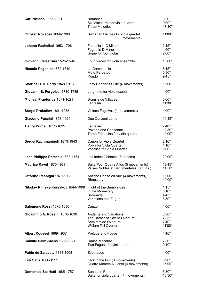| <b>Carl Nielsen 1865-1931</b>        | Romance<br>Six Miniatures for viola quartet<br><b>Three Melodies</b>                                            | 3'20''<br>9'00"<br>17'30"          |
|--------------------------------------|-----------------------------------------------------------------------------------------------------------------|------------------------------------|
| Ottokar Nováček 1866-1900            | Bulgarian Dances for viola quartet<br>(8 movements)                                                             | 11'00"                             |
| Johann Pachelbel 1653-1706           | Fantasia in C Minor<br>Fugue in D Minor<br>Gigue for four violas                                                | 2'15"<br>4'50"<br>2'00''           |
| Giovanni Palestrina 1525-1594        | Four pieces for viola ensemble                                                                                  | 15'00"                             |
| Niccolò Paganini 1782-1840           | La Campanella<br>Moto Perpetuo<br>Rondo                                                                         | 5'15''<br>5'30''<br>9'45"          |
| <b>Charles H. H. Parry 1848-1918</b> | Lady Radnor's Suite (6 movements)                                                                               | 15'00"                             |
| Giovanni B. Pergolesi 1710-1736      | Larghetto for viola quartet                                                                                     | 4'00"                              |
| Michael Praetorius 1571-1621         | Bransle de Villages<br>Fantasia                                                                                 | 5'00"<br>11'30"                    |
| Sergei Prokofiev 1891-1953           | Visions Fugitives (4 movements)                                                                                 | 4'00"                              |
| Giacomo Puccini 1858-1924            | Due Canzoni Lente                                                                                               | 10'45"                             |
| Henry Purcell 1659-1695              | Fantazia<br>Pavane and Chaconne<br>Three Fantasias for viola quartet                                            | 7'40"<br>12'30"<br>10'00"          |
| Sergei Rachmaninoff 1873-1943        | Canon for Viola Quartet<br>Polka for Viola Quartet<br>Vocalise for Viola Quartet                                | 2'10''<br>4'10''<br>5'00"          |
| Jean-Philippe Rameau 1683-1764       | Les Indes Galantes (8 dances)                                                                                   | 20'00"                             |
| Maurice Ravel 1875-1937              | Suite Pour Quatre Altos (5 movements)<br>Valses Nobles et Sentimentales (8 mvts.)                               | 12'45"<br>14'50"                   |
| Ottorino Respighi 1879-1936          | Antiche Danze ed Arie (4 movements)<br>Rhapsody                                                                 | 16'00"<br>10'00"                   |
| Nikolay Rimsky-Korsakov 1844-1908    | Flight of the Bumble-bee<br>In the Monastery<br>Serenade<br>Variations and Fugue                                | 1'15"<br>6'10''<br>4'45"<br>8'30'' |
| Salomone Rossi 1570-1630             | Canzon                                                                                                          | 4'00"                              |
| Gioachino A. Rossini 1570-1630       | Andante and Variations<br>The Barber of Saville Overture<br>Semiramide Overture<br><b>William Tell Overture</b> | 8'30''<br>7'35"<br>7'40"<br>11'00" |
| Albert Roussel 1869-1937             | Prelude and Fugue                                                                                               | 4'40"                              |
| Camille Saint-Saëns 1835-1921        | Danse Macabre<br>Two Fugues for viola quartet                                                                   | 7'30"<br>9'40''                    |
| Pablo de Sarasate 1844-1908          | Zepateado                                                                                                       | 4'00"                              |
| <b>Erik Satie 1866-1925</b>          | Jack in the box (3 movements)<br>Quatre Morceaux Lents (4 movements)                                            | 6'20''<br>15'00"                   |
| Domenico Scarlatti 1685-1757         | Sonata in F<br>Suite for viola quartet (4 movements)                                                            | 5'30''<br>13'30"                   |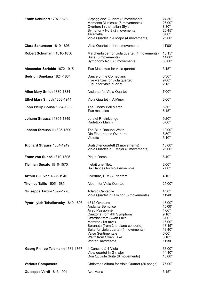| Franz Schubert 1797-1828           | 'Arpeggione' Quartet (3 movements)<br>Moments Musicaux (6 movements)<br>Overture in the Italian Style<br>Symphony No.8 (2 movements)<br>Tarantelle<br>Viola Quartet in A Major (4 movements)                                                                                             | 24'30"<br>26'00"<br>8'30''<br>26'45"<br>8'00"<br>25'00"                                                 |
|------------------------------------|------------------------------------------------------------------------------------------------------------------------------------------------------------------------------------------------------------------------------------------------------------------------------------------|---------------------------------------------------------------------------------------------------------|
| Clara Schumann 1819-1896           | Viola Quartet in three movements                                                                                                                                                                                                                                                         | 11'00"                                                                                                  |
| Robert Schumann 1810-1856          | Märchenbilder for viola quartet (4 movements)<br>Suite (5 movements)<br>Symphony No.3 (5 movements)                                                                                                                                                                                      | 15'15"<br>14'00"<br>30'00"                                                                              |
| Alexander Scriabin 1872-1915       | Two Mazurkas for viola quartet                                                                                                                                                                                                                                                           | 3'15"                                                                                                   |
| Bedřich Smetana 1824-1884          | Dance of the Comedians<br>Five waltzes for viola quartet<br>Fugue for viola quartet                                                                                                                                                                                                      | 6'30''<br>9'00"<br>2'15"                                                                                |
| Alice Mary Smith 1839-1884         | Andante for Viola Quartet                                                                                                                                                                                                                                                                | 7'00"                                                                                                   |
| Ethel Mary Smyth 1858-1944         | Viola Quartet in A Minor                                                                                                                                                                                                                                                                 | 8'00"                                                                                                   |
| John Philip Sousa 1854-1932        | The Liberty Bell March<br>Two melodies                                                                                                                                                                                                                                                   | 5'50''<br>5'45''                                                                                        |
| Johann Strauss I 1804-1849         | Lorelei Rheinklänge<br>Radetzky March                                                                                                                                                                                                                                                    | 9'20"<br>3'00"                                                                                          |
| Johann Strauss II 1825-1899        | The Blue Danube Waltz<br>Die Fledermaus Overture<br>Violetta                                                                                                                                                                                                                             | 10'00"<br>8'50''<br>3'10''                                                                              |
| Richard Strauss 1864-1949          | Bratschenquartett (3 movements)<br>Viola Quartet in F Major (3 movements)                                                                                                                                                                                                                | 16'00"<br>26'00"                                                                                        |
| Franz von Suppé 1819-1895          | Pique Dame                                                                                                                                                                                                                                                                               | 8'40"                                                                                                   |
| Tielman Susato 1510-1570           | Il etait une fillett<br>Six Dances for viola ensemble                                                                                                                                                                                                                                    | 2'00"<br>7'00"                                                                                          |
| Arthur Sullivan 1885-1945          | Overture, H.M.S. Pinafore                                                                                                                                                                                                                                                                | 4'10''                                                                                                  |
| <b>Thomas Tallis 1505-1585</b>     | Album for Viola Quartet                                                                                                                                                                                                                                                                  | 25'00"                                                                                                  |
| Giuseppe Tartini 1692-1770         | Adagio Cantabile<br>Viola Quartet in C minor (3 movements)                                                                                                                                                                                                                               | 4'30"<br>11'40"                                                                                         |
| Pyotr Ilyich Tchaikovsky 1840-1893 | 1812 Overture<br>Andante Semplice<br>Aveu Passionné<br>Canzona from 4th Symphony<br>Czardas from Swan Lake<br>Manfred (1st mvt.)<br>Seranata (from 2nd piano concerto)<br>Suite for viola quartet (4 movements)<br>Valse Sentimentale<br>Waltz from Swan Lake<br><b>Winter Daydreams</b> | 15'00"<br>10'00"<br>4'00"<br>9'10"<br>3'00''<br>16'00"<br>13'15"<br>13'40"<br>6'00'<br>8'10''<br>11'30" |
| Georg Philipp Telemann 1681-1767   | 4 Concerti à 4 Viole<br>Viola quartet in G major<br>Don Quixote Suite (8 movements)                                                                                                                                                                                                      | 33'00"<br>14'40"<br>18'00"                                                                              |
| <b>Various Composers</b>           | Christmas Album for Viola Quartet (20 songs)                                                                                                                                                                                                                                             | 75'00"                                                                                                  |
| Guiseppe Verdi 1813-1901           | Ave Maria                                                                                                                                                                                                                                                                                | 3'45"                                                                                                   |